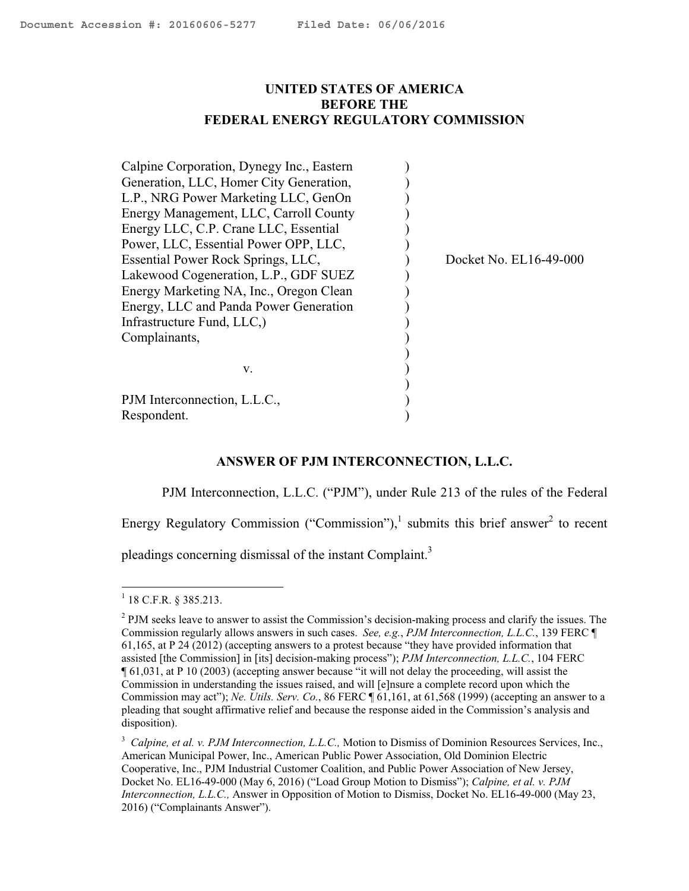## <span id="page-0-0"></span>**UNITED STATES OF AMERICA BEFORE THE FEDERAL ENERGY REGULATORY COMMISSION**

| Calpine Corporation, Dynegy Inc., Eastern |                        |
|-------------------------------------------|------------------------|
| Generation, LLC, Homer City Generation,   |                        |
| L.P., NRG Power Marketing LLC, GenOn      |                        |
| Energy Management, LLC, Carroll County    |                        |
| Energy LLC, C.P. Crane LLC, Essential     |                        |
| Power, LLC, Essential Power OPP, LLC,     |                        |
| Essential Power Rock Springs, LLC,        | Docket No. EL16-49-000 |
| Lakewood Cogeneration, L.P., GDF SUEZ     |                        |
| Energy Marketing NA, Inc., Oregon Clean   |                        |
| Energy, LLC and Panda Power Generation    |                        |
| Infrastructure Fund, LLC,                 |                        |
| Complainants,                             |                        |
|                                           |                        |
| v.                                        |                        |
|                                           |                        |
| PJM Interconnection, L.L.C.,              |                        |
| Respondent.                               |                        |

### **ANSWER OF PJM INTERCONNECTION, L.L.C.**

PJM Interconnection, L.L.C. ("PJM"), under Rule 213 of the rules of the Federal

Energy Regulatory Commission ("Commission"), $^1$  submits this brief answer<sup>2</sup> to recent

pleadings concerning dismissal of the instant Complaint.<sup>3</sup>

 1 18 C.F.R. § 385.213.

 $2$  PJM seeks leave to answer to assist the Commission's decision-making process and clarify the issues. The Commission regularly allows answers in such cases. *See, e.g.*, *PJM Interconnection, L.L.C.*, 139 FERC ¶ 61,165, at P 24 (2012) (accepting answers to a protest because "they have provided information that assisted [the Commission] in [its] decision-making process"); *PJM Interconnection, L.L.C.*, 104 FERC ¶ 61,031, at P 10 (2003) (accepting answer because "it will not delay the proceeding, will assist the Commission in understanding the issues raised, and will [e]nsure a complete record upon which the Commission may act"); *Ne. Utils. Serv. Co.*, 86 FERC ¶ 61,161, at 61,568 (1999) (accepting an answer to a pleading that sought affirmative relief and because the response aided in the Commission's analysis and disposition).

<sup>&</sup>lt;sup>3</sup> Calpine, et al. v. PJM Interconnection, L.L.C., Motion to Dismiss of Dominion Resources Services, Inc., American Municipal Power, Inc., American Public Power Association, Old Dominion Electric Cooperative, Inc., PJM Industrial Customer Coalition, and Public Power Association of New Jersey, Docket No. EL16-49-000 (May 6, 2016) ("Load Group Motion to Dismiss"); *Calpine, et al. v. PJM Interconnection, L.L.C.,* Answer in Opposition of Motion to Dismiss, Docket No. EL16-49-000 (May 23, 2016) ("Complainants Answer").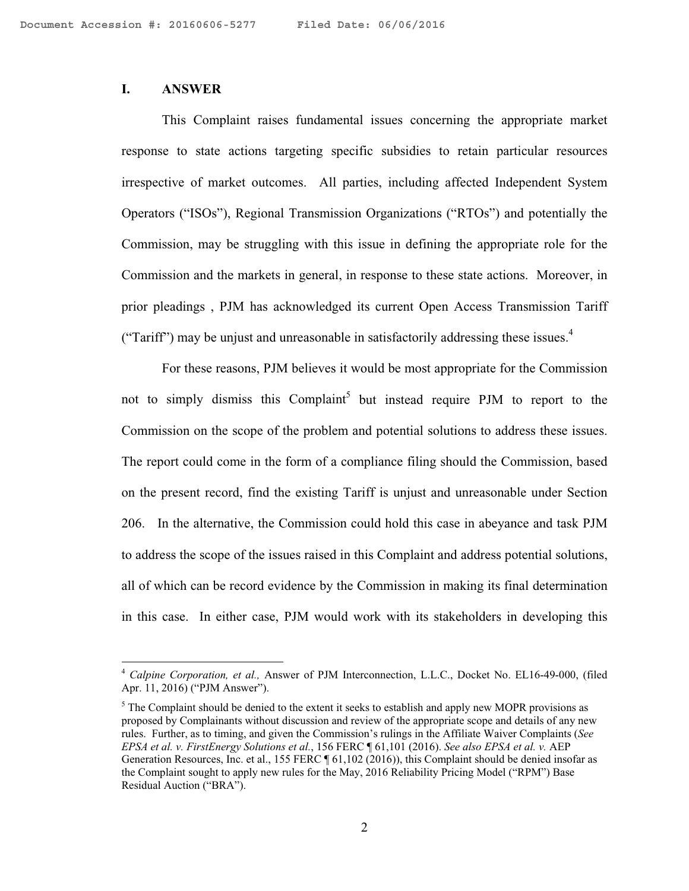## **I. ANSWER**

 $\overline{a}$ 

This Complaint raises fundamental issues concerning the appropriate market response to state actions targeting specific subsidies to retain particular resources irrespective of market outcomes. All parties, including affected Independent System Operators ("ISOs"), Regional Transmission Organizations ("RTOs") and potentially the Commission, may be struggling with this issue in defining the appropriate role for the Commission and the markets in general, in response to these state actions. Moreover, in prior pleadings , PJM has acknowledged its current Open Access Transmission Tariff ("Tariff") may be unjust and unreasonable in satisfactorily addressing these issues. $4$ 

For these reasons, PJM believes it would be most appropriate for the Commission not to simply dismiss this Complaint<sup>5</sup> but instead require PJM to report to the Commission on the scope of the problem and potential solutions to address these issues. The report could come in the form of a compliance filing should the Commission, based on the present record, find the existing Tariff is unjust and unreasonable under Section 206. In the alternative, the Commission could hold this case in abeyance and task PJM to address the scope of the issues raised in this Complaint and address potential solutions, all of which can be record evidence by the Commission in making its final determination in this case. In either case, PJM would work with its stakeholders in developing this

<sup>4</sup> *Calpine Corporation, et al.,* Answer of PJM Interconnection, L.L.C., Docket No. EL16-49-000, (filed Apr. 11, 2016) ("PJM Answer").

 $<sup>5</sup>$  The Complaint should be denied to the extent it seeks to establish and apply new MOPR provisions as</sup> proposed by Complainants without discussion and review of the appropriate scope and details of any new rules. Further, as to timing, and given the Commission's rulings in the Affiliate Waiver Complaints (*See EPSA et al. v. FirstEnergy Solutions et al.*, 156 FERC ¶ 61,101 (2016). *See also EPSA et al. v.* AEP Generation Resources, Inc. et al., 155 FERC  $\llbracket 61,102(2016)$ , this Complaint should be denied insofar as the Complaint sought to apply new rules for the May, 2016 Reliability Pricing Model ("RPM") Base Residual Auction ("BRA").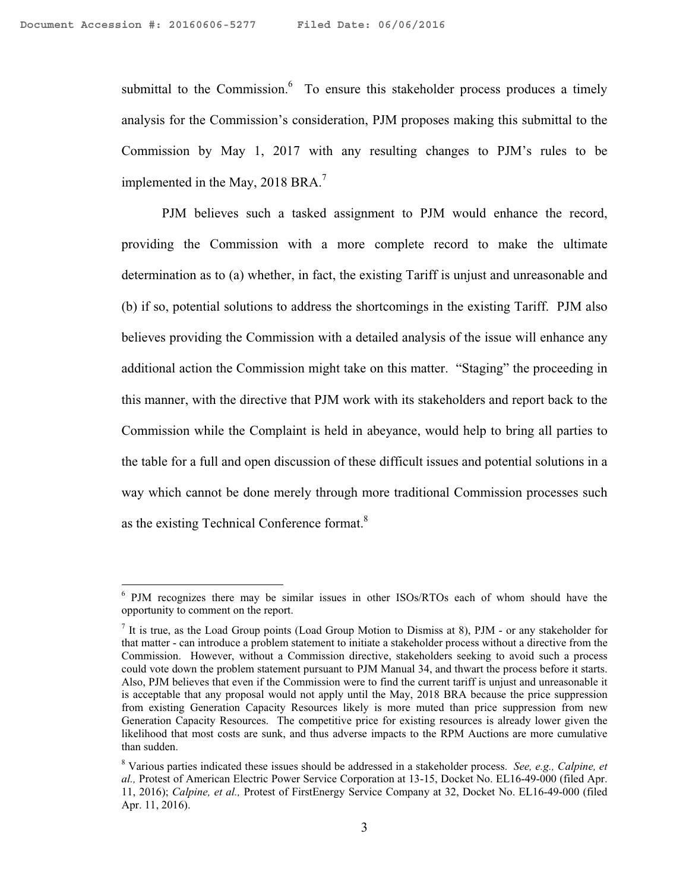$\overline{a}$ 

submittal to the Commission. $6\degree$  To ensure this stakeholder process produces a timely analysis for the Commission's consideration, PJM proposes making this submittal to the Commission by May 1, 2017 with any resulting changes to PJM's rules to be implemented in the May, 2018 BRA. $^7$ 

PJM believes such a tasked assignment to PJM would enhance the record, providing the Commission with a more complete record to make the ultimate determination as to (a) whether, in fact, the existing Tariff is unjust and unreasonable and (b) if so, potential solutions to address the shortcomings in the existing Tariff. PJM also believes providing the Commission with a detailed analysis of the issue will enhance any additional action the Commission might take on this matter. "Staging" the proceeding in this manner, with the directive that PJM work with its stakeholders and report back to the Commission while the Complaint is held in abeyance, would help to bring all parties to the table for a full and open discussion of these difficult issues and potential solutions in a way which cannot be done merely through more traditional Commission processes such as the existing Technical Conference format.<sup>8</sup>

<sup>&</sup>lt;sup>6</sup> PJM recognizes there may be similar issues in other ISOs/RTOs each of whom should have the opportunity to comment on the report.

<sup>&</sup>lt;sup>7</sup> It is true, as the Load Group points (Load Group Motion to Dismiss at 8), PJM - or any stakeholder for that matter - can introduce a problem statement to initiate a stakeholder process without a directive from the Commission. However, without a Commission directive, stakeholders seeking to avoid such a process could vote down the problem statement pursuant to PJM Manual 34, and thwart the process before it starts. Also, PJM believes that even if the Commission were to find the current tariff is unjust and unreasonable it is acceptable that any proposal would not apply until the May, 2018 BRA because the price suppression from existing Generation Capacity Resources likely is more muted than price suppression from new Generation Capacity Resources. The competitive price for existing resources is already lower given the likelihood that most costs are sunk, and thus adverse impacts to the RPM Auctions are more cumulative than sudden.

<sup>8</sup> Various parties indicated these issues should be addressed in a stakeholder process. *See, e.g., Calpine, et al.,* Protest of American Electric Power Service Corporation at 13-15, Docket No. EL16-49-000 (filed Apr. 11, 2016); *Calpine, et al.,* Protest of FirstEnergy Service Company at 32, Docket No. EL16-49-000 (filed Apr. 11, 2016).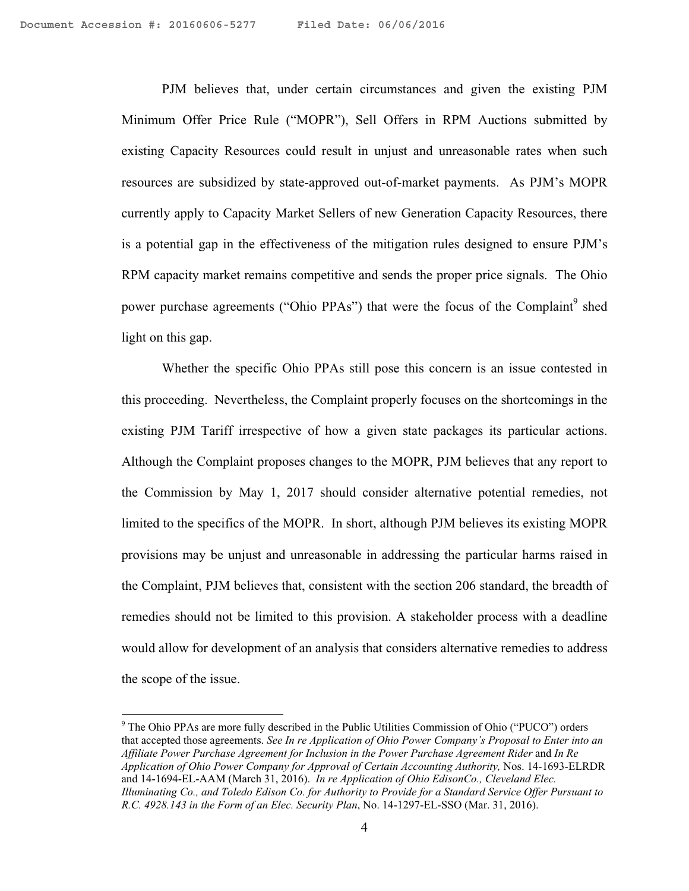1

PJM believes that, under certain circumstances and given the existing PJM Minimum Offer Price Rule ("MOPR"), Sell Offers in RPM Auctions submitted by existing Capacity Resources could result in unjust and unreasonable rates when such resources are subsidized by state-approved out-of-market payments. As PJM's MOPR currently apply to Capacity Market Sellers of new Generation Capacity Resources, there is a potential gap in the effectiveness of the mitigation rules designed to ensure PJM's RPM capacity market remains competitive and sends the proper price signals. The Ohio power purchase agreements ("Ohio PPAs") that were the focus of the Complaint<sup>9</sup> shed light on this gap.

Whether the specific Ohio PPAs still pose this concern is an issue contested in this proceeding. Nevertheless, the Complaint properly focuses on the shortcomings in the existing PJM Tariff irrespective of how a given state packages its particular actions. Although the Complaint proposes changes to the MOPR, PJM believes that any report to the Commission by May 1, 2017 should consider alternative potential remedies, not limited to the specifics of the MOPR. In short, although PJM believes its existing MOPR provisions may be unjust and unreasonable in addressing the particular harms raised in the Complaint, PJM believes that, consistent with the section 206 standard, the breadth of remedies should not be limited to this provision. A stakeholder process with a deadline would allow for development of an analysis that considers alternative remedies to address the scope of the issue.

<sup>&</sup>lt;sup>9</sup> The Ohio PPAs are more fully described in the Public Utilities Commission of Ohio ("PUCO") orders that accepted those agreements. *See In re Application of Ohio Power Company's Proposal to Enter into an Affiliate Power Purchase Agreement for Inclusion in the Power Purchase Agreement Rider* and *In Re Application of Ohio Power Company for Approval of Certain Accounting Authority,* Nos. 14-1693-ELRDR and 14-1694-EL-AAM (March 31, 2016). *In re Application of Ohio EdisonCo., Cleveland Elec. Illuminating Co., and Toledo Edison Co. for Authority to Provide for a Standard Service Offer Pursuant to R.C. 4928.143 in the Form of an Elec. Security Plan*, No. 14-1297-EL-SSO (Mar. 31, 2016).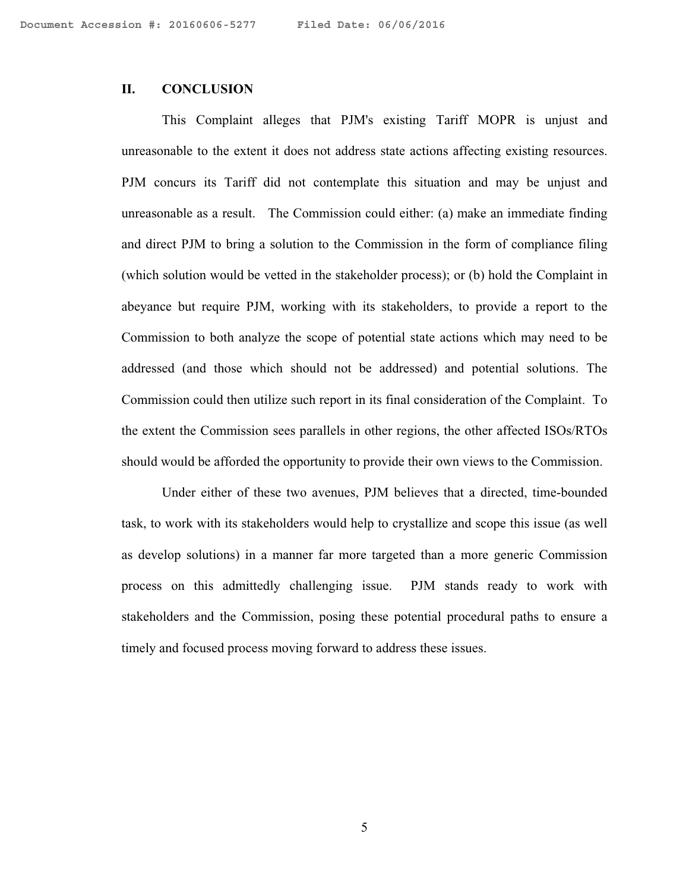### **II. CONCLUSION**

This Complaint alleges that PJM's existing Tariff MOPR is unjust and unreasonable to the extent it does not address state actions affecting existing resources. PJM concurs its Tariff did not contemplate this situation and may be unjust and unreasonable as a result. The Commission could either: (a) make an immediate finding and direct PJM to bring a solution to the Commission in the form of compliance filing (which solution would be vetted in the stakeholder process); or (b) hold the Complaint in abeyance but require PJM, working with its stakeholders, to provide a report to the Commission to both analyze the scope of potential state actions which may need to be addressed (and those which should not be addressed) and potential solutions. The Commission could then utilize such report in its final consideration of the Complaint. To the extent the Commission sees parallels in other regions, the other affected ISOs/RTOs should would be afforded the opportunity to provide their own views to the Commission.

Under either of these two avenues, PJM believes that a directed, time-bounded task, to work with its stakeholders would help to crystallize and scope this issue (as well as develop solutions) in a manner far more targeted than a more generic Commission process on this admittedly challenging issue. PJM stands ready to work with stakeholders and the Commission, posing these potential procedural paths to ensure a timely and focused process moving forward to address these issues.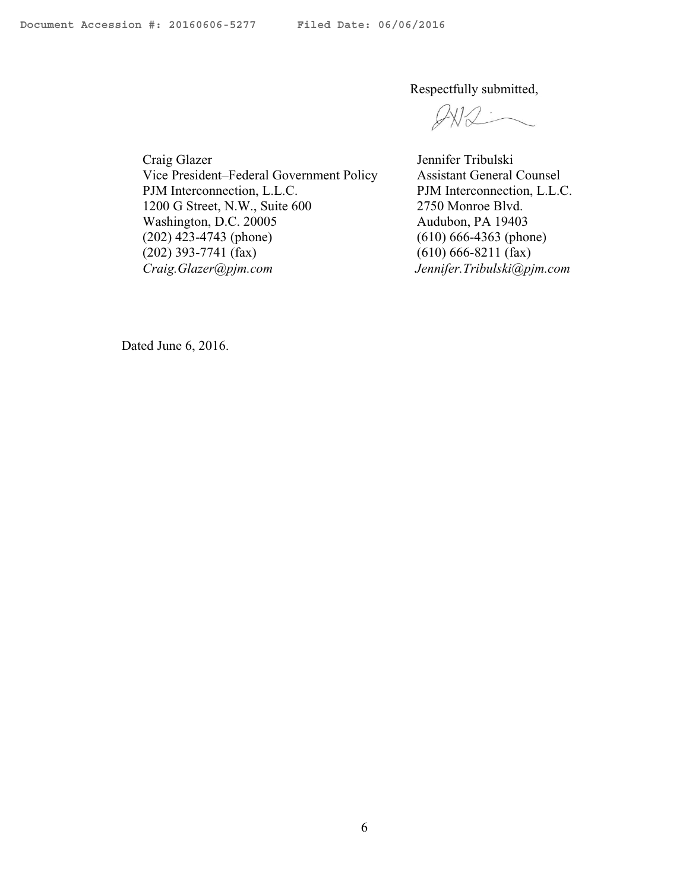Respectfully submitted,

Craig Glazer Vice President–Federal Government Policy PJM Interconnection, L.L.C. 1200 G Street, N.W., Suite 600 Washington, D.C. 20005 (202) 423-4743 (phone) (202) 393-7741 (fax) *Craig.Glazer@pjm.com* 

Jennifer Tribulski Assistant General Counsel PJM Interconnection, L.L.C. 2750 Monroe Blvd. Audubon, PA 19403 (610) 666-4363 (phone) (610) 666-8211 (fax)  *Jennifer.Tribulski@pjm.com*

Dated June 6, 2016.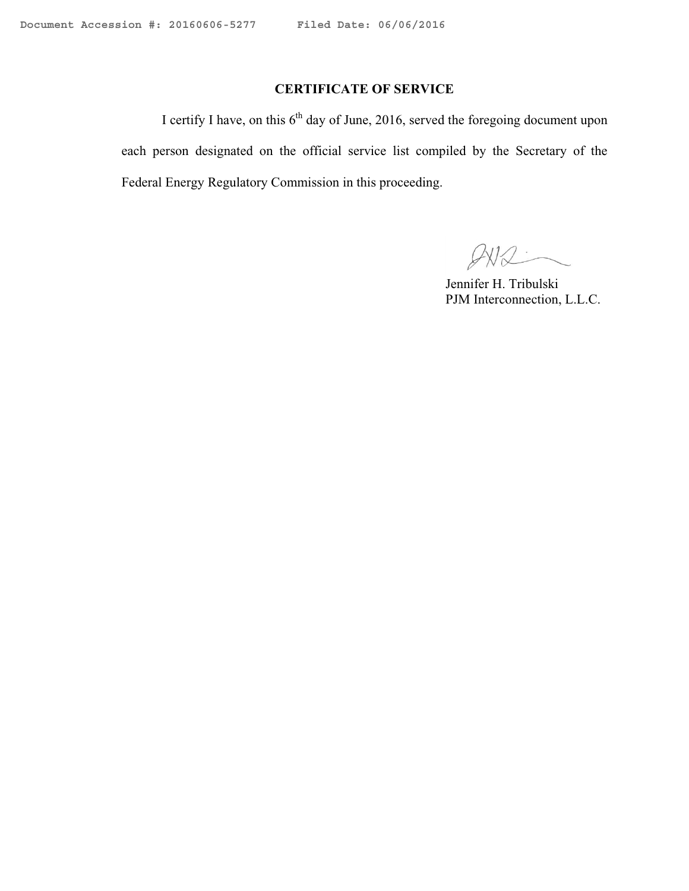# **CERTIFICATE OF SERVICE**

I certify I have, on this  $6<sup>th</sup>$  day of June, 2016, served the foregoing document upon each person designated on the official service list compiled by the Secretary of the Federal Energy Regulatory Commission in this proceeding.

 $QW2$ 

 Jennifer H. Tribulski PJM Interconnection, L.L.C.